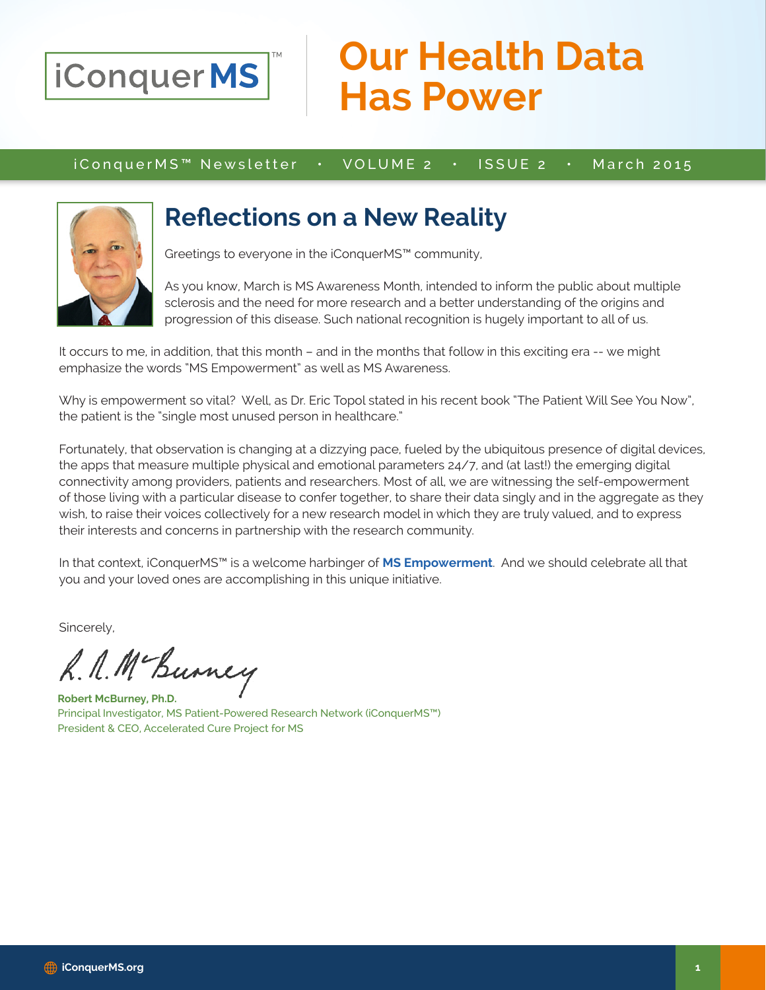

## **Our Health Data Has Power**

iConquerMS™ Newsletter • VOLUME 2 • ISSUE 2 • March 2015



### **Reflections on a New Reality**

Greetings to everyone in the iConquerMS™ community,

As you know, March is MS Awareness Month, intended to inform the public about multiple sclerosis and the need for more research and a better understanding of the origins and progression of this disease. Such national recognition is hugely important to all of us.

It occurs to me, in addition, that this month – and in the months that follow in this exciting era -- we might emphasize the words "MS Empowerment" as well as MS Awareness.

Why is empowerment so vital? Well, as Dr. Eric Topol stated in his recent book "The Patient Will See You Now", the patient is the "single most unused person in healthcare."

Fortunately, that observation is changing at a dizzying pace, fueled by the ubiquitous presence of digital devices, the apps that measure multiple physical and emotional parameters 24/7, and (at last!) the emerging digital connectivity among providers, patients and researchers. Most of all, we are witnessing the self-empowerment of those living with a particular disease to confer together, to share their data singly and in the aggregate as they wish, to raise their voices collectively for a new research model in which they are truly valued, and to express their interests and concerns in partnership with the research community.

In that context, iConquerMS™ is a welcome harbinger of **MS Empowerment**. And we should celebrate all that you and your loved ones are accomplishing in this unique initiative.

Sincerely,

R. N. Mc Burney

**Robert McBurney, Ph.D.** Principal Investigator, MS Patient-Powered Research Network (iConquerMS™) President & CEO, Accelerated Cure Project for MS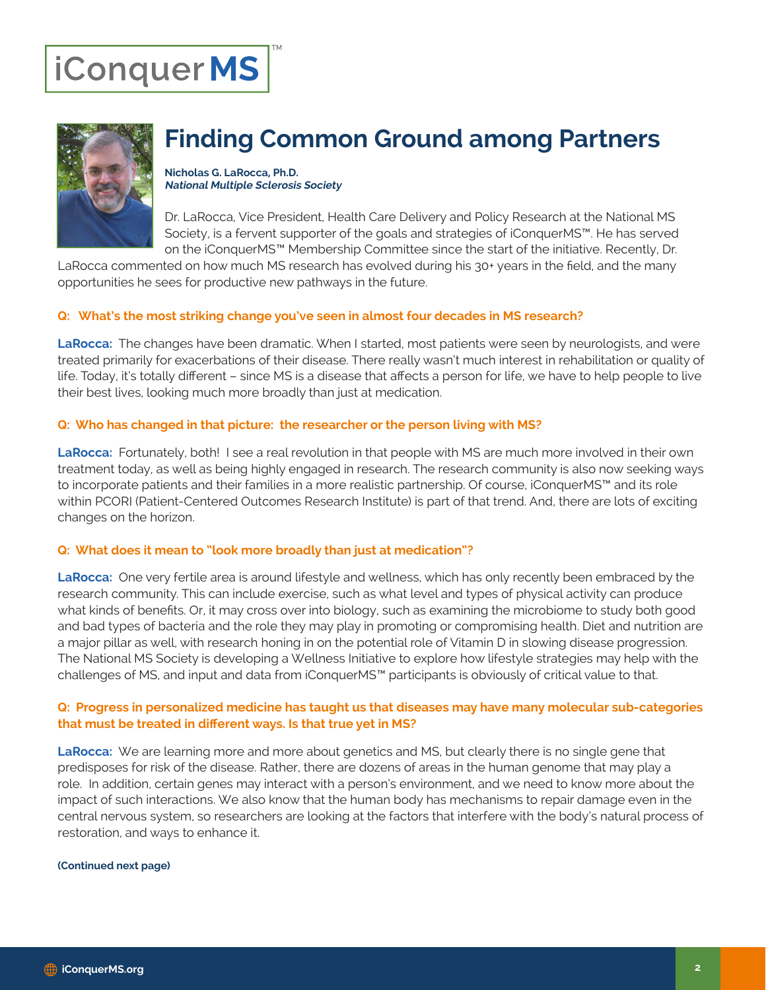# iConquerMS



## **Finding Common Ground among Partners**

**Nicholas G. LaRocca, Ph.D. National Multiple Sclerosis Society**

Dr. LaRocca, Vice President, Health Care Delivery and Policy Research at the National MS Society, is a fervent supporter of the goals and strategies of iConquerMS™. He has served on the iConquerMS™ Membership Committee since the start of the initiative. Recently, Dr.

LaRocca commented on how much MS research has evolved during his 30+ years in the field, and the many opportunities he sees for productive new pathways in the future.

#### **Q: What's the most striking change you've seen in almost four decades in MS research?**

**LaRocca:** The changes have been dramatic. When I started, most patients were seen by neurologists, and were treated primarily for exacerbations of their disease. There really wasn't much interest in rehabilitation or quality of life. Today, it's totally different – since MS is a disease that affects a person for life, we have to help people to live their best lives, looking much more broadly than just at medication.

#### **Q: Who has changed in that picture: the researcher or the person living with MS?**

**LaRocca:** Fortunately, both! I see a real revolution in that people with MS are much more involved in their own treatment today, as well as being highly engaged in research. The research community is also now seeking ways to incorporate patients and their families in a more realistic partnership. Of course, iConquerMS™ and its role within PCORI (Patient-Centered Outcomes Research Institute) is part of that trend. And, there are lots of exciting changes on the horizon.

#### **Q: What does it mean to "look more broadly than just at medication"?**

**LaRocca:** One very fertile area is around lifestyle and wellness, which has only recently been embraced by the research community. This can include exercise, such as what level and types of physical activity can produce what kinds of benefits. Or, it may cross over into biology, such as examining the microbiome to study both good and bad types of bacteria and the role they may play in promoting or compromising health. Diet and nutrition are a major pillar as well, with research honing in on the potential role of Vitamin D in slowing disease progression. The National MS Society is developing a Wellness Initiative to explore how lifestyle strategies may help with the challenges of MS, and input and data from iConquerMS™ participants is obviously of critical value to that.

#### **Q: Progress in personalized medicine has taught us that diseases may have many molecular sub-categories that must be treated in different ways. Is that true yet in MS?**

**LaRocca:** We are learning more and more about genetics and MS, but clearly there is no single gene that predisposes for risk of the disease. Rather, there are dozens of areas in the human genome that may play a role. In addition, certain genes may interact with a person's environment, and we need to know more about the impact of such interactions. We also know that the human body has mechanisms to repair damage even in the central nervous system, so researchers are looking at the factors that interfere with the body's natural process of restoration, and ways to enhance it.

#### **(Continued next page)**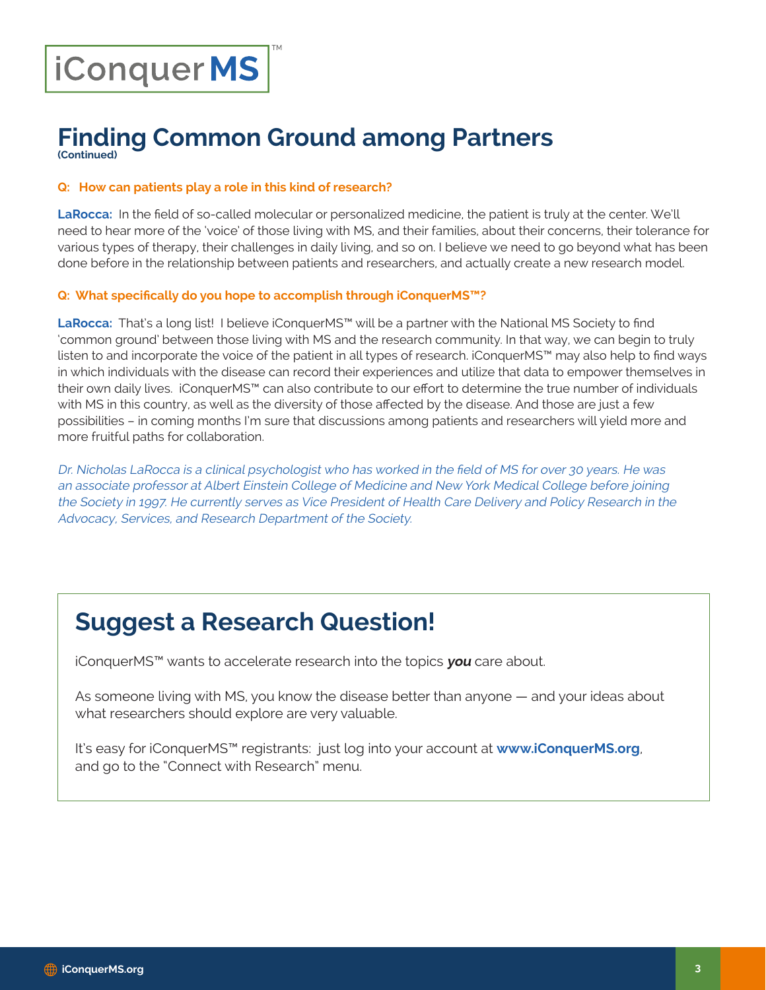# iConquerMS

#### **Finding Common Ground among Partners (Continued)**

**Q: How can patients play a role in this kind of research?**

**LaRocca:** In the field of so-called molecular or personalized medicine, the patient is truly at the center. We'll need to hear more of the 'voice' of those living with MS, and their families, about their concerns, their tolerance for various types of therapy, their challenges in daily living, and so on. I believe we need to go beyond what has been done before in the relationship between patients and researchers, and actually create a new research model.

#### **Q: What specifically do you hope to accomplish through iConquerMS™?**

**LaRocca:** That's a long list! I believe iConquerMS™ will be a partner with the National MS Society to find 'common ground' between those living with MS and the research community. In that way, we can begin to truly listen to and incorporate the voice of the patient in all types of research. iConquerMS™ may also help to find ways in which individuals with the disease can record their experiences and utilize that data to empower themselves in their own daily lives. iConquerMS™ can also contribute to our effort to determine the true number of individuals with MS in this country, as well as the diversity of those affected by the disease. And those are just a few possibilities – in coming months I'm sure that discussions among patients and researchers will yield more and more fruitful paths for collaboration.

Dr. Nicholas LaRocca is a clinical psychologist who has worked in the field of MS for over 30 years. He was an associate professor at Albert Einstein College of Medicine and New York Medical College before joining the Society in 1997. He currently serves as Vice President of Health Care Delivery and Policy Research in the Advocacy, Services, and Research Department of the Society.

## **Suggest a Research Question!**

iConquerMS™ wants to accelerate research into the topics **you** care about.

As someone living with MS, you know the disease better than anyone — and your ideas about what researchers should explore are very valuable.

It's easy for iConquerMS™ registrants: just log into your account at **www.iConquerMS.org**, and go to the "Connect with Research" menu.